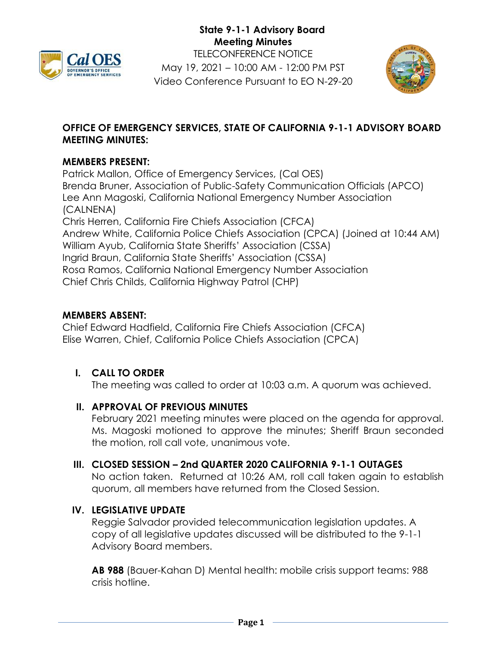



## **OFFICE OF EMERGENCY SERVICES, STATE OF CALIFORNIA 9-1-1 ADVISORY BOARD MEETING MINUTES:**

#### **MEMBERS PRESENT:**

Patrick Mallon, Office of Emergency Services, (Cal OES) Brenda Bruner, Association of Public-Safety Communication Officials (APCO) Lee Ann Magoski, California National Emergency Number Association (CALNENA) Chris Herren, California Fire Chiefs Association (CFCA) Andrew White, California Police Chiefs Association (CPCA) (Joined at 10:44 AM) William Ayub, California State Sheriffs' Association (CSSA) Ingrid Braun, California State Sheriffs' Association (CSSA) Rosa Ramos, California National Emergency Number Association Chief Chris Childs, California Highway Patrol (CHP)

#### **MEMBERS ABSENT:**

Chief Edward Hadfield, California Fire Chiefs Association (CFCA) Elise Warren, Chief, California Police Chiefs Association (CPCA)

# **I. CALL TO ORDER**

The meeting was called to order at 10:03 a.m. A quorum was achieved.

## **II. APPROVAL OF PREVIOUS MINUTES**

February 2021 meeting minutes were placed on the agenda for approval. Ms. Magoski motioned to approve the minutes; Sheriff Braun seconded the motion, roll call vote, unanimous vote.

#### **III. CLOSED SESSION – 2nd QUARTER 2020 CALIFORNIA 9-1-1 OUTAGES**

No action taken. Returned at 10:26 AM, roll call taken again to establish quorum, all members have returned from the Closed Session.

## **IV. LEGISLATIVE UPDATE**

Reggie Salvador provided telecommunication legislation updates. A copy of all legislative updates discussed will be distributed to the 9-1-1 Advisory Board members.

**AB 988** (Bauer-Kahan D) Mental health: mobile crisis support teams: 988 crisis hotline.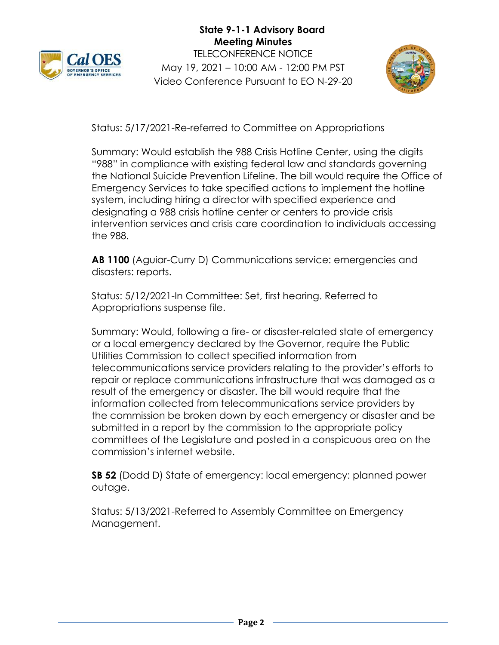



Status: 5/17/2021-Re-referred to Committee on Appropriations

Summary: Would establish the 988 Crisis Hotline Center, using the digits "988" in compliance with existing federal law and standards governing the National Suicide Prevention Lifeline. The bill would require the Office of Emergency Services to take specified actions to implement the hotline system, including hiring a director with specified experience and designating a 988 crisis hotline center or centers to provide crisis intervention services and crisis care coordination to individuals accessing the 988.

**AB 1100** (Aguiar-Curry D) Communications service: emergencies and disasters: reports.

Status: 5/12/2021-In Committee: Set, first hearing. Referred to Appropriations suspense file.

Summary: Would, following a fire- or disaster-related state of emergency or a local emergency declared by the Governor, require the Public Utilities Commission to collect specified information from telecommunications service providers relating to the provider's efforts to repair or replace communications infrastructure that was damaged as a result of the emergency or disaster. The bill would require that the information collected from telecommunications service providers by the commission be broken down by each emergency or disaster and be submitted in a report by the commission to the appropriate policy committees of the Legislature and posted in a conspicuous area on the commission's internet website.

**SB 52** (Dodd D) State of emergency: local emergency: planned power outage.

Status: 5/13/2021-Referred to Assembly Committee on Emergency Management.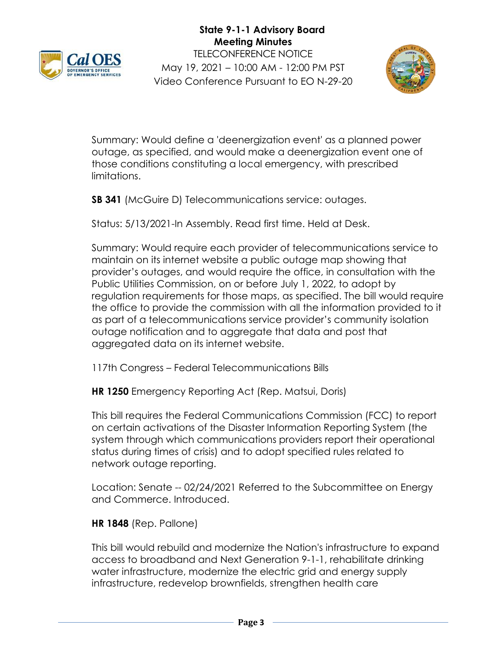



Summary: Would define a 'deenergization event' as a planned power outage, as specified, and would make a deenergization event one of those conditions constituting a local emergency, with prescribed limitations.

**SB 341** (McGuire D) Telecommunications service: outages.

Status: 5/13/2021-In Assembly. Read first time. Held at Desk.

Summary: Would require each provider of telecommunications service to maintain on its internet website a public outage map showing that provider's outages, and would require the office, in consultation with the Public Utilities Commission, on or before July 1, 2022, to adopt by regulation requirements for those maps, as specified. The bill would require the office to provide the commission with all the information provided to it as part of a telecommunications service provider's community isolation outage notification and to aggregate that data and post that aggregated data on its internet website.

117th Congress – Federal Telecommunications Bills

**HR 1250** Emergency Reporting Act (Rep. Matsui, Doris)

This bill requires the Federal Communications Commission (FCC) to report on certain activations of the Disaster Information Reporting System (the system through which communications providers report their operational status during times of crisis) and to adopt specified rules related to network outage reporting.

Location: Senate -- 02/24/2021 Referred to the Subcommittee on Energy and Commerce. Introduced.

## **HR 1848** (Rep. Pallone)

This bill would rebuild and modernize the Nation's infrastructure to expand access to broadband and Next Generation 9-1-1, rehabilitate drinking water infrastructure, modernize the electric grid and energy supply infrastructure, redevelop brownfields, strengthen health care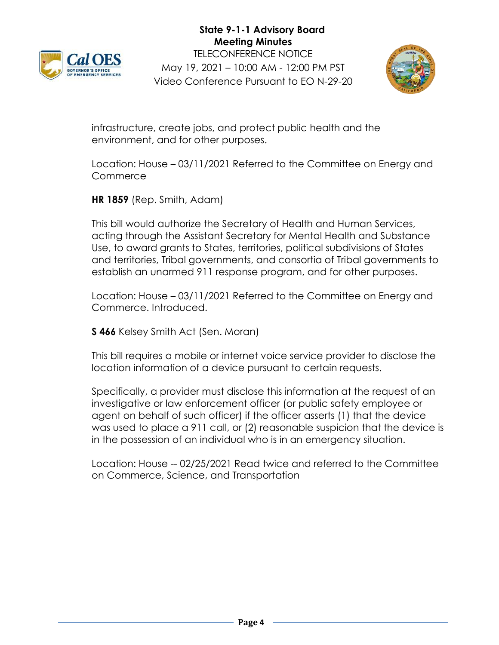



infrastructure, create jobs, and protect public health and the environment, and for other purposes.

Location: House – 03/11/2021 Referred to the Committee on Energy and **Commerce** 

**HR 1859** (Rep. Smith, Adam)

This bill would authorize the Secretary of Health and Human Services, acting through the Assistant Secretary for Mental Health and Substance Use, to award grants to States, territories, political subdivisions of States and territories, Tribal governments, and consortia of Tribal governments to establish an unarmed 911 response program, and for other purposes.

Location: House – 03/11/2021 Referred to the Committee on Energy and Commerce. Introduced.

**S 466** Kelsey Smith Act (Sen. Moran)

This bill requires a mobile or internet voice service provider to disclose the location information of a device pursuant to certain requests.

Specifically, a provider must disclose this information at the request of an investigative or law enforcement officer (or public safety employee or agent on behalf of such officer) if the officer asserts (1) that the device was used to place a 911 call, or (2) reasonable suspicion that the device is in the possession of an individual who is in an emergency situation.

Location: House -- 02/25/2021 Read twice and referred to the Committee on Commerce, Science, and Transportation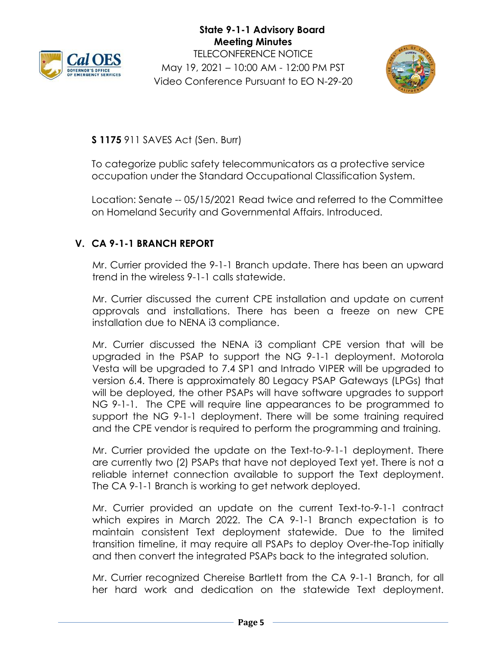



**S 1175** 911 SAVES Act (Sen. Burr)

To categorize public safety telecommunicators as a protective service occupation under the Standard Occupational Classification System.

Location: Senate -- 05/15/2021 Read twice and referred to the Committee on Homeland Security and Governmental Affairs. Introduced.

## **V. CA 9-1-1 BRANCH REPORT**

Mr. Currier provided the 9-1-1 Branch update. There has been an upward trend in the wireless 9-1-1 calls statewide.

Mr. Currier discussed the current CPE installation and update on current approvals and installations. There has been a freeze on new CPE installation due to NENA i3 compliance.

Mr. Currier discussed the NENA i3 compliant CPE version that will be upgraded in the PSAP to support the NG 9-1-1 deployment. Motorola Vesta will be upgraded to 7.4 SP1 and Intrado VIPER will be upgraded to version 6.4. There is approximately 80 Legacy PSAP Gateways (LPGs) that will be deployed, the other PSAPs will have software upgrades to support NG 9-1-1. The CPE will require line appearances to be programmed to support the NG 9-1-1 deployment. There will be some training required and the CPE vendor is required to perform the programming and training.

Mr. Currier provided the update on the Text-to-9-1-1 deployment. There are currently two (2) PSAPs that have not deployed Text yet. There is not a reliable internet connection available to support the Text deployment. The CA 9-1-1 Branch is working to get network deployed.

Mr. Currier provided an update on the current Text-to-9-1-1 contract which expires in March 2022. The CA 9-1-1 Branch expectation is to maintain consistent Text deployment statewide. Due to the limited transition timeline, it may require all PSAPs to deploy Over-the-Top initially and then convert the integrated PSAPs back to the integrated solution.

Mr. Currier recognized Chereise Bartlett from the CA 9-1-1 Branch, for all her hard work and dedication on the statewide Text deployment.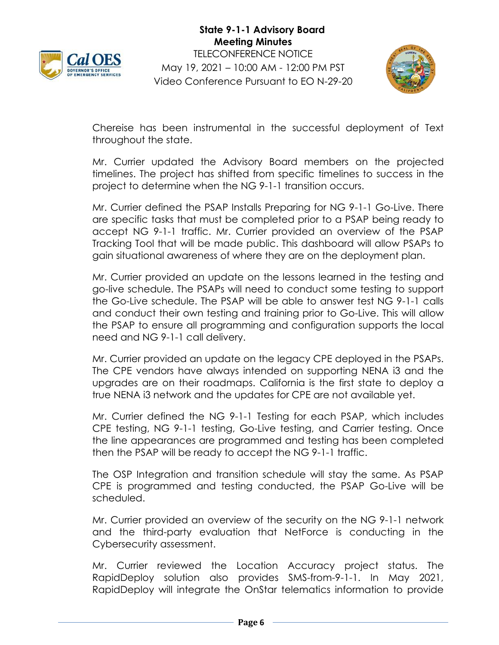



Chereise has been instrumental in the successful deployment of Text throughout the state.

Mr. Currier updated the Advisory Board members on the projected timelines. The project has shifted from specific timelines to success in the project to determine when the NG 9-1-1 transition occurs.

Mr. Currier defined the PSAP Installs Preparing for NG 9-1-1 Go-Live. There are specific tasks that must be completed prior to a PSAP being ready to accept NG 9-1-1 traffic. Mr. Currier provided an overview of the PSAP Tracking Tool that will be made public. This dashboard will allow PSAPs to gain situational awareness of where they are on the deployment plan.

Mr. Currier provided an update on the lessons learned in the testing and go-live schedule. The PSAPs will need to conduct some testing to support the Go-Live schedule. The PSAP will be able to answer test NG 9-1-1 calls and conduct their own testing and training prior to Go-Live. This will allow the PSAP to ensure all programming and configuration supports the local need and NG 9-1-1 call delivery.

Mr. Currier provided an update on the legacy CPE deployed in the PSAPs. The CPE vendors have always intended on supporting NENA i3 and the upgrades are on their roadmaps. California is the first state to deploy a true NENA i3 network and the updates for CPE are not available yet.

Mr. Currier defined the NG 9-1-1 Testing for each PSAP, which includes CPE testing, NG 9-1-1 testing, Go-Live testing, and Carrier testing. Once the line appearances are programmed and testing has been completed then the PSAP will be ready to accept the NG 9-1-1 traffic.

The OSP Integration and transition schedule will stay the same. As PSAP CPE is programmed and testing conducted, the PSAP Go-Live will be scheduled.

Mr. Currier provided an overview of the security on the NG 9-1-1 network and the third-party evaluation that NetForce is conducting in the Cybersecurity assessment.

Mr. Currier reviewed the Location Accuracy project status. The RapidDeploy solution also provides SMS-from-9-1-1. In May 2021, RapidDeploy will integrate the OnStar telematics information to provide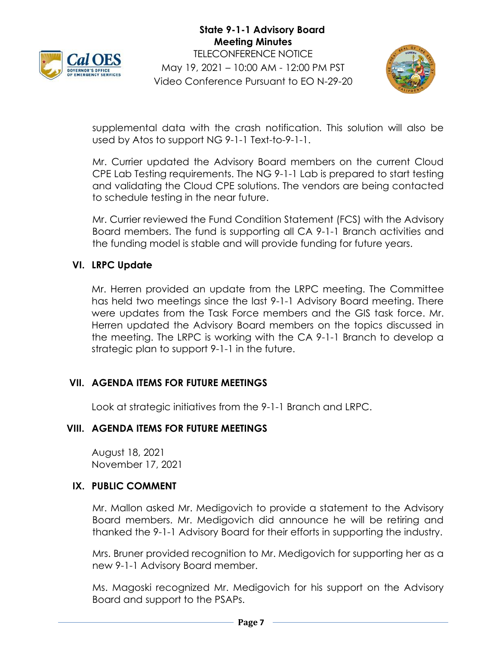



supplemental data with the crash notification. This solution will also be used by Atos to support NG 9-1-1 Text-to-9-1-1.

Mr. Currier updated the Advisory Board members on the current Cloud CPE Lab Testing requirements. The NG 9-1-1 Lab is prepared to start testing and validating the Cloud CPE solutions. The vendors are being contacted to schedule testing in the near future.

Mr. Currier reviewed the Fund Condition Statement (FCS) with the Advisory Board members. The fund is supporting all CA 9-1-1 Branch activities and the funding model is stable and will provide funding for future years.

## **VI. LRPC Update**

Mr. Herren provided an update from the LRPC meeting. The Committee has held two meetings since the last 9-1-1 Advisory Board meeting. There were updates from the Task Force members and the GIS task force. Mr. Herren updated the Advisory Board members on the topics discussed in the meeting. The LRPC is working with the CA 9-1-1 Branch to develop a strategic plan to support 9-1-1 in the future.

## **VII. AGENDA ITEMS FOR FUTURE MEETINGS**

Look at strategic initiatives from the 9-1-1 Branch and LRPC.

## **VIII. AGENDA ITEMS FOR FUTURE MEETINGS**

August 18, 2021 November 17, 2021

#### **IX. PUBLIC COMMENT**

Mr. Mallon asked Mr. Medigovich to provide a statement to the Advisory Board members. Mr. Medigovich did announce he will be retiring and thanked the 9-1-1 Advisory Board for their efforts in supporting the industry.

Mrs. Bruner provided recognition to Mr. Medigovich for supporting her as a new 9-1-1 Advisory Board member.

Ms. Magoski recognized Mr. Medigovich for his support on the Advisory Board and support to the PSAPs.